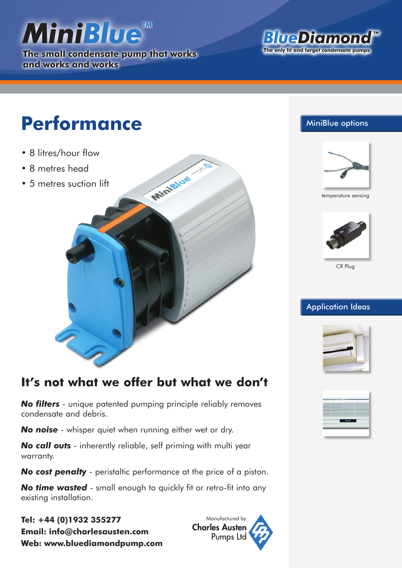# *MiniBlue*

**The small condensate pump that works and works and works**

#### *BlueDiamond TM* **The only fit and forget condensate pumps**

## **Performance**

- 8 litres/hour flow
- 8 metres head
- 5 metres suction lift



#### MiniBlue options



temperature sensing



CR Plug

#### **Application Ideas**



### **It's not what we offer but what we don't**

*No filters* - unique patented pumping principle reliably removes condensate and debris.

*No noise* - whisper quiet when running either wet or dry.

*No call outs* - inherently reliable, self priming with multi year warranty.

*No cost penalty* - peristaltic performance at the price of a piston.

*No time wasted* - small enough to quickly fit or retro-fit into any existing installation.

**Tel: +44 (0)1932 355277 Email: info@charlesausten.com Web: www.bluediamondpump.com**